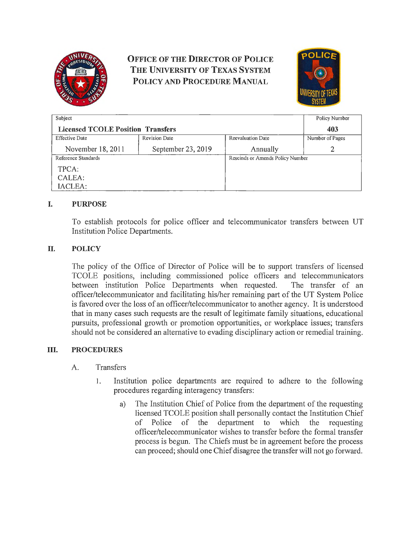

# **OFFICE OF THE DIRECTOR OF POLICE THE UNIVERSITY OF TEXAS SYSTEM POLICY AND PROCEDURE MANUAL**



| Subject                                  |                      |                                  | Policy Number   |
|------------------------------------------|----------------------|----------------------------------|-----------------|
| <b>Licensed TCOLE Position Transfers</b> |                      |                                  | 403             |
| <b>Effective Date</b>                    | <b>Revision Date</b> | <b>Reevaluation Date</b>         | Number of Pages |
| November 18, 2011                        | September 23, 2019   | Annually                         | 2               |
| Reference Standards                      |                      | Rescinds or Amends Policy Number |                 |
| TPCA:                                    |                      |                                  |                 |
| CALEA:                                   |                      |                                  |                 |
| IACLEA:                                  |                      |                                  |                 |

# **I. PURPOSE**

To establish protocols for police officer and telecommunicator transfers between UT Institution Police Departments.

# **II. POLICY**

The policy of the Office of Director of Police will be to support transfers of licensed TCOLE positions, including commissioned police officers and telecomrnunicators between institution Police Departments when requested. The transfer of an officer/telecommunicator and facilitating his/her remaining part of the UT System Police is favored over the loss of an officer/telecommunicator to another agency. It is understood that in many cases such requests are the result of legitimate family situations, educational pursuits, professional growth or promotion opportunities, or workplace issues; transfers should not be considered an alternative to evading disciplinary action or remedial training.

### **III. PROCEDURES**

### A. Transfers

- 1. Institution police departments are required to adhere to the following procedures regarding interagency transfers:
	- a) The Institution Chief of Police from the department of the requesting licensed TCOLE position shall personally contact the Institution Chief of Police of the department to which the requesting officer/telecommunicator wishes to transfer before the formal transfer process is begun. The Chiefs must be in agreement before the process can proceed; should one Chief disagree the transfer will not go forward.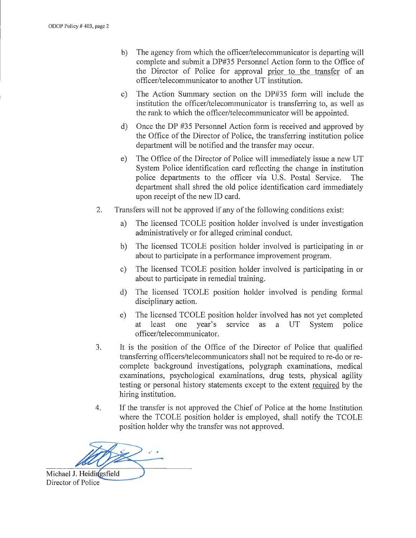- b) The agency from which the officer/telecommunicator is departing will complete and submit a DP#35 Personnel Action form to the Office of the Director of Police for approval prior to the transfer of an officer/telecommunicator to another UT institution.
- c) The Action Summary section on the DP#35 form will include the institution the officer/telecommunicator is transferring to, as well as the rank to which the officer/telecommunicator will be appointed.
- d) Once the DP #35 Personnel Action form is received and approved by the Office of the Director of Police, the transferring institution police department will be notified and the transfer may occur.
- e) The Office of the Director of Police will immediately issue a new UT System Police identification card reflecting the change in institution police departments to the officer via U.S. Postal Service. The department shall shred the old police identification card immediately upon receipt of the new ID card.
- 2. Transfers will not be approved if any of the following conditions exist:
	- a) The licensed TCOLE position holder involved is under investigation administratively or for alleged criminal conduct.
	- b) The licensed TCOLE position holder involved is participating in or about to participate in a performance improvement program.
	- c) The licensed TCOLE position holder involved is participating in or about to participate in remedial training.
	- d) The licensed TCOLE position holder involved is pending formal disciplinary action.
	- e) The licensed TCOLE position holder involved has not yet completed at least one year's service as a UT System police officer/telecommunicator.
- 3. It is the position of the Office of the Director of Police that qualified transferring officers/telecommunicators shall not be required to re-do or recomplete background investigations, polygraph examinations, medical examinations, psychological examinations, drug tests, physical agility testing or personal history statements except to the extent required by the hiring institution.
- 4. If the transfer is not approved the Chief of Police at the home Institution where the TCOLE position holder is employed, shall notify the TCOLE position holder why the transfer was not approved.

. - Michael J. Heidingsfield

Director of Police